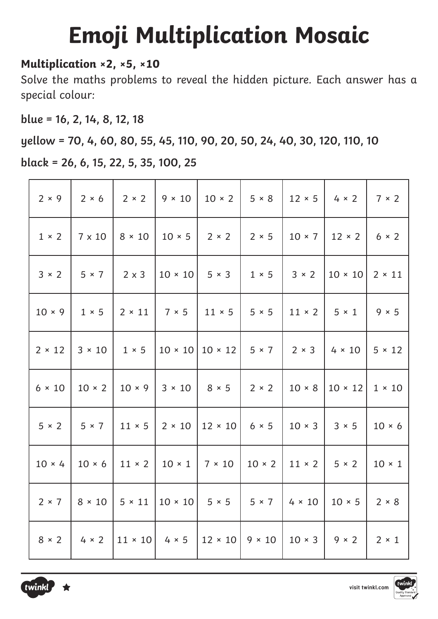## **Emoji Multiplication Mosaic**

## **Multiplication ×2, ×5, ×10**

Solve the maths problems to reveal the hidden picture. Each answer has a special colour:

**blue = 16, 2, 14, 8, 12, 18**

**yellow = 70, 4, 60, 80, 55, 45, 110, 90, 20, 50, 24, 40, 30, 120, 110, 10**

**black = 26, 6, 15, 22, 5, 35, 100, 25** 

| $2 \times 9$  | $2 \times 6$  | $2 \times 2$   | $9 \times 10$  | $10 \times 2$                                               | $5 \times 8$                 | $12 \times 5$              | $4 \times 2$   | 7 × 2         |
|---------------|---------------|----------------|----------------|-------------------------------------------------------------|------------------------------|----------------------------|----------------|---------------|
| $1 \times 2$  | $7 \times 10$ | $8 \times 10$  | $10 \times 5$  | $2 \times 2$                                                | $2 \times 5$                 | $10 \times 7$              | $12 \times 2$  | $6 \times 2$  |
| $3 \times 2$  | $5 \times 7$  | $2 \times 3$   | $10 \times 10$ | $5 \times 3$                                                | $1 \times 5$                 | $3 \times 2$               | $10 \times 10$ | $2 \times 11$ |
| $10 \times 9$ | $1 \times 5$  |                |                | $2 \times 11$   $7 \times 5$   $11 \times 5$   $5 \times 5$ |                              | $11 \times 2$              | $5 \times 1$   | $9 \times 5$  |
| $2 \times 12$ | $3 \times 10$ | $1 \times 5$   |                | $10 \times 10   10 \times 12   5 \times 7$                  |                              | $\vert$ 2 × 3              | $4 \times 10$  | $5 \times 12$ |
| $6 \times 10$ | $10 \times 2$ | $10 \times 9$  | $3 \times 10$  | $8 \times 5$                                                | $2 \times 2$                 | $10 \times 8$              | $10 \times 12$ | $1 \times 10$ |
| $5 \times 2$  | $5 \times 7$  | $11 \times 5$  | $2 \times 10$  | $12 \times 10$ 6 $\times$ 5                                 |                              | $10 \times 3$              | $3 \times 5$   | $10 \times 6$ |
| $10 \times 4$ | $10 \times 6$ | $11 \times 2$  |                | $10 \times 1$   7 $\times$ 10                               | $10 \times 2$                | $11 \times 2$ 5 $\times$ 2 |                | $10 \times 1$ |
| $2 \times 7$  | $8 \times 10$ | $5 \times 11$  |                | $10 \times 10$ 5 $\times$ 5                                 | $5 \times 7$                 | $4 \times 10$              | $10 \times 5$  | $2 \times 8$  |
| $8 \times 2$  | $4 \times 2$  | $11 \times 10$ | $4 \times 5$   |                                                             | $12 \times 10$ 9 $\times$ 10 | $10 \times 3$              | $9 \times 2$   | $2 \times 1$  |